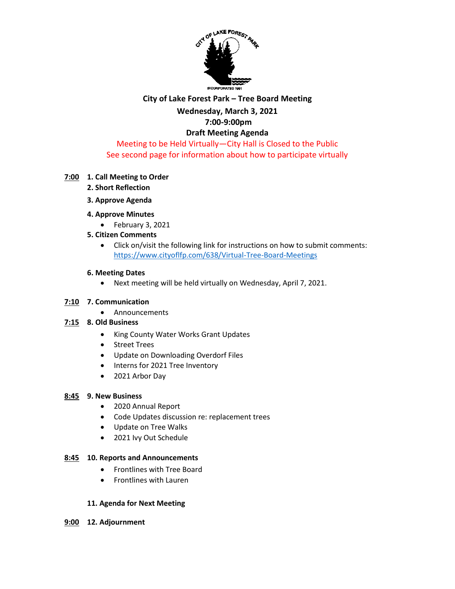

## **City of Lake Forest Park – Tree Board Meeting**

## **Wednesday, March 3, 2021**

# **7:00-9:00pm**

#### **Draft Meeting Agenda** Meeting to be Held Virtually—City Hall is Closed to the Public

See second page for information about how to participate virtually

### **7:00 1. Call Meeting to Order**

- **2. Short Reflection**
- **3. Approve Agenda**
- **4. Approve Minutes** 
	- February 3, 2021
- **5. Citizen Comments**
	- Click on/visit the following link for instructions on how to submit comments: <https://www.cityoflfp.com/638/Virtual-Tree-Board-Meetings>

### **6. Meeting Dates**

• Next meeting will be held virtually on Wednesday, April 7, 2021.

### **7:10 7. Communication**

• Announcements

## **7:15 8. Old Business**

- King County Water Works Grant Updates
- Street Trees
- Update on Downloading Overdorf Files
- Interns for 2021 Tree Inventory
- 2021 Arbor Day

### **8:45 9. New Business**

- 2020 Annual Report
- Code Updates discussion re: replacement trees
- Update on Tree Walks
- 2021 Ivy Out Schedule

### **8:45 10. Reports and Announcements**

- Frontlines with Tree Board
- Frontlines with Lauren

### **11. Agenda for Next Meeting**

**9:00 12. Adjournment**